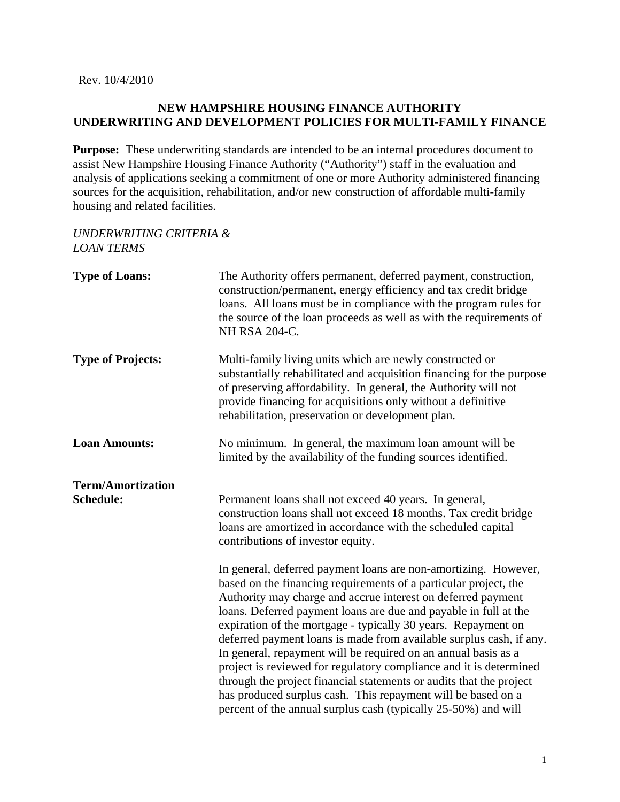Rev. 10/4/2010

### **NEW HAMPSHIRE HOUSING FINANCE AUTHORITY UNDERWRITING AND DEVELOPMENT POLICIES FOR MULTI-FAMILY FINANCE**

**Purpose:** These underwriting standards are intended to be an internal procedures document to assist New Hampshire Housing Finance Authority ("Authority") staff in the evaluation and analysis of applications seeking a commitment of one or more Authority administered financing sources for the acquisition, rehabilitation, and/or new construction of affordable multi-family housing and related facilities.

## *UNDERWRITING CRITERIA & LOAN TERMS*

| <b>Type of Loans:</b>                        | The Authority offers permanent, deferred payment, construction,<br>construction/permanent, energy efficiency and tax credit bridge<br>loans. All loans must be in compliance with the program rules for<br>the source of the loan proceeds as well as with the requirements of<br>NH RSA 204-C.                                                                                                                                                                                                                                                                                                                                                                                                                                                                  |
|----------------------------------------------|------------------------------------------------------------------------------------------------------------------------------------------------------------------------------------------------------------------------------------------------------------------------------------------------------------------------------------------------------------------------------------------------------------------------------------------------------------------------------------------------------------------------------------------------------------------------------------------------------------------------------------------------------------------------------------------------------------------------------------------------------------------|
| <b>Type of Projects:</b>                     | Multi-family living units which are newly constructed or<br>substantially rehabilitated and acquisition financing for the purpose<br>of preserving affordability. In general, the Authority will not<br>provide financing for acquisitions only without a definitive<br>rehabilitation, preservation or development plan.                                                                                                                                                                                                                                                                                                                                                                                                                                        |
| <b>Loan Amounts:</b>                         | No minimum. In general, the maximum loan amount will be<br>limited by the availability of the funding sources identified.                                                                                                                                                                                                                                                                                                                                                                                                                                                                                                                                                                                                                                        |
| <b>Term/Amortization</b><br><b>Schedule:</b> | Permanent loans shall not exceed 40 years. In general,<br>construction loans shall not exceed 18 months. Tax credit bridge<br>loans are amortized in accordance with the scheduled capital<br>contributions of investor equity.                                                                                                                                                                                                                                                                                                                                                                                                                                                                                                                                  |
|                                              | In general, deferred payment loans are non-amortizing. However,<br>based on the financing requirements of a particular project, the<br>Authority may charge and accrue interest on deferred payment<br>loans. Deferred payment loans are due and payable in full at the<br>expiration of the mortgage - typically 30 years. Repayment on<br>deferred payment loans is made from available surplus cash, if any.<br>In general, repayment will be required on an annual basis as a<br>project is reviewed for regulatory compliance and it is determined<br>through the project financial statements or audits that the project<br>has produced surplus cash. This repayment will be based on a<br>percent of the annual surplus cash (typically 25-50%) and will |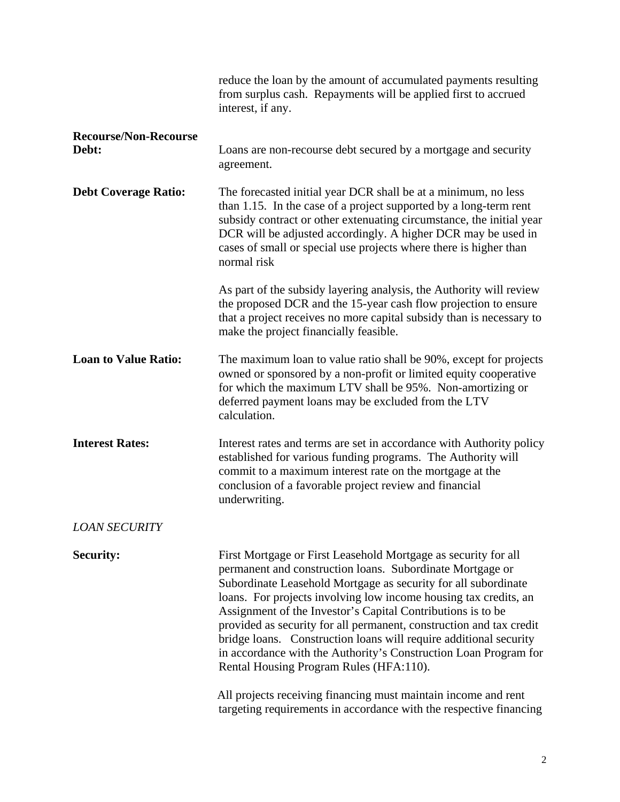|                                       | reduce the loan by the amount of accumulated payments resulting<br>from surplus cash. Repayments will be applied first to accrued<br>interest, if any.                                                                                                                                                                                                                                                                                                                                                                                                                                      |
|---------------------------------------|---------------------------------------------------------------------------------------------------------------------------------------------------------------------------------------------------------------------------------------------------------------------------------------------------------------------------------------------------------------------------------------------------------------------------------------------------------------------------------------------------------------------------------------------------------------------------------------------|
| <b>Recourse/Non-Recourse</b><br>Debt: | Loans are non-recourse debt secured by a mortgage and security<br>agreement.                                                                                                                                                                                                                                                                                                                                                                                                                                                                                                                |
| <b>Debt Coverage Ratio:</b>           | The forecasted initial year DCR shall be at a minimum, no less<br>than 1.15. In the case of a project supported by a long-term rent<br>subsidy contract or other extenuating circumstance, the initial year<br>DCR will be adjusted accordingly. A higher DCR may be used in<br>cases of small or special use projects where there is higher than<br>normal risk                                                                                                                                                                                                                            |
|                                       | As part of the subsidy layering analysis, the Authority will review<br>the proposed DCR and the 15-year cash flow projection to ensure<br>that a project receives no more capital subsidy than is necessary to<br>make the project financially feasible.                                                                                                                                                                                                                                                                                                                                    |
| <b>Loan to Value Ratio:</b>           | The maximum loan to value ratio shall be 90%, except for projects<br>owned or sponsored by a non-profit or limited equity cooperative<br>for which the maximum LTV shall be 95%. Non-amortizing or<br>deferred payment loans may be excluded from the LTV<br>calculation.                                                                                                                                                                                                                                                                                                                   |
| <b>Interest Rates:</b>                | Interest rates and terms are set in accordance with Authority policy<br>established for various funding programs. The Authority will<br>commit to a maximum interest rate on the mortgage at the<br>conclusion of a favorable project review and financial<br>underwriting.                                                                                                                                                                                                                                                                                                                 |
| <b>LOAN SECURITY</b>                  |                                                                                                                                                                                                                                                                                                                                                                                                                                                                                                                                                                                             |
| Security:                             | First Mortgage or First Leasehold Mortgage as security for all<br>permanent and construction loans. Subordinate Mortgage or<br>Subordinate Leasehold Mortgage as security for all subordinate<br>loans. For projects involving low income housing tax credits, an<br>Assignment of the Investor's Capital Contributions is to be<br>provided as security for all permanent, construction and tax credit<br>bridge loans. Construction loans will require additional security<br>in accordance with the Authority's Construction Loan Program for<br>Rental Housing Program Rules (HFA:110). |
|                                       | All projects receiving financing must maintain income and rent<br>targeting requirements in accordance with the respective financing                                                                                                                                                                                                                                                                                                                                                                                                                                                        |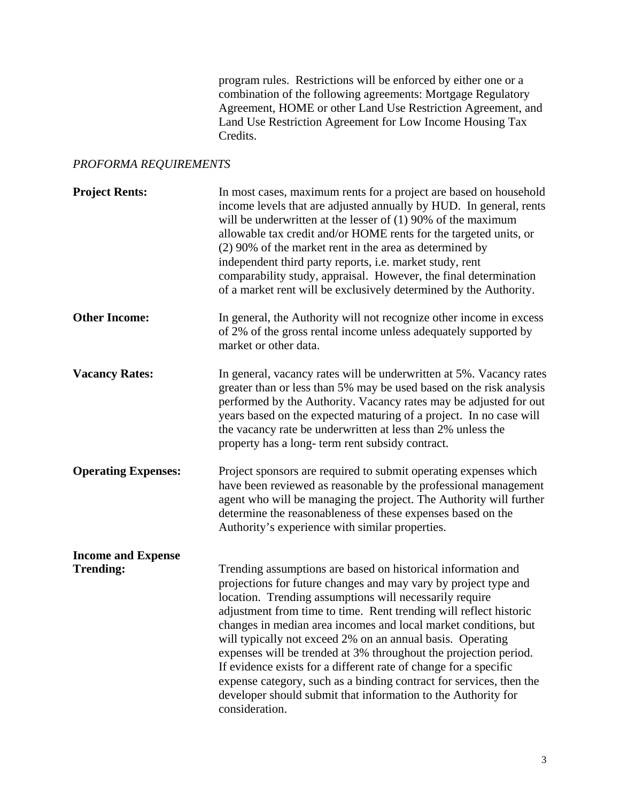program rules. Restrictions will be enforced by either one or a combination of the following agreements: Mortgage Regulatory Agreement, HOME or other Land Use Restriction Agreement, and Land Use Restriction Agreement for Low Income Housing Tax Credits.

# *PROFORMA REQUIREMENTS*

| <b>Project Rents:</b>                         | In most cases, maximum rents for a project are based on household<br>income levels that are adjusted annually by HUD. In general, rents<br>will be underwritten at the lesser of $(1)$ 90% of the maximum<br>allowable tax credit and/or HOME rents for the targeted units, or<br>(2) 90% of the market rent in the area as determined by<br>independent third party reports, i.e. market study, rent<br>comparability study, appraisal. However, the final determination<br>of a market rent will be exclusively determined by the Authority.                                                                                                                                                     |
|-----------------------------------------------|----------------------------------------------------------------------------------------------------------------------------------------------------------------------------------------------------------------------------------------------------------------------------------------------------------------------------------------------------------------------------------------------------------------------------------------------------------------------------------------------------------------------------------------------------------------------------------------------------------------------------------------------------------------------------------------------------|
| <b>Other Income:</b>                          | In general, the Authority will not recognize other income in excess<br>of 2% of the gross rental income unless adequately supported by<br>market or other data.                                                                                                                                                                                                                                                                                                                                                                                                                                                                                                                                    |
| <b>Vacancy Rates:</b>                         | In general, vacancy rates will be underwritten at 5%. Vacancy rates<br>greater than or less than 5% may be used based on the risk analysis<br>performed by the Authority. Vacancy rates may be adjusted for out<br>years based on the expected maturing of a project. In no case will<br>the vacancy rate be underwritten at less than 2% unless the<br>property has a long-term rent subsidy contract.                                                                                                                                                                                                                                                                                            |
| <b>Operating Expenses:</b>                    | Project sponsors are required to submit operating expenses which<br>have been reviewed as reasonable by the professional management<br>agent who will be managing the project. The Authority will further<br>determine the reasonableness of these expenses based on the<br>Authority's experience with similar properties.                                                                                                                                                                                                                                                                                                                                                                        |
| <b>Income and Expense</b><br><b>Trending:</b> | Trending assumptions are based on historical information and<br>projections for future changes and may vary by project type and<br>location. Trending assumptions will necessarily require<br>adjustment from time to time. Rent trending will reflect historic<br>changes in median area incomes and local market conditions, but<br>will typically not exceed 2% on an annual basis. Operating<br>expenses will be trended at 3% throughout the projection period.<br>If evidence exists for a different rate of change for a specific<br>expense category, such as a binding contract for services, then the<br>developer should submit that information to the Authority for<br>consideration. |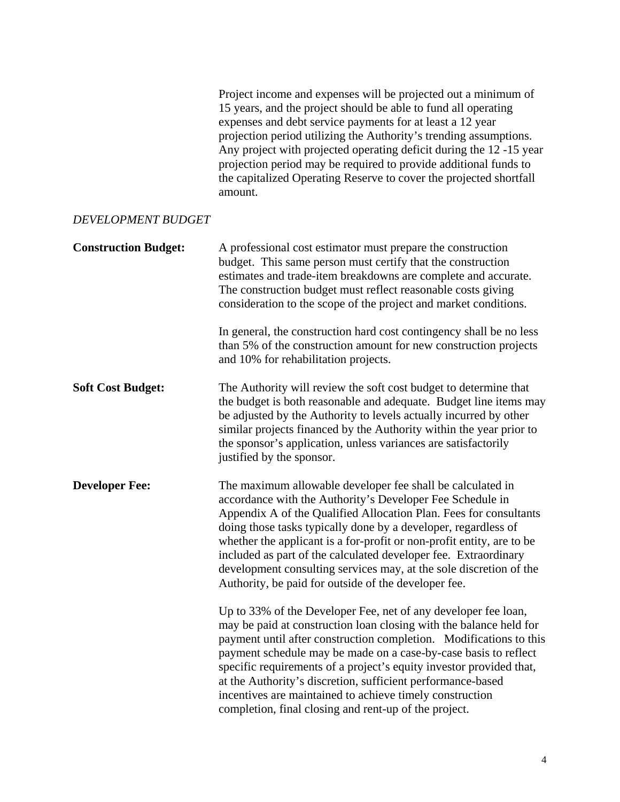Project income and expenses will be projected out a minimum of 15 years, and the project should be able to fund all operating expenses and debt service payments for at least a 12 year projection period utilizing the Authority's trending assumptions. Any project with projected operating deficit during the 12 -15 year projection period may be required to provide additional funds to the capitalized Operating Reserve to cover the projected shortfall amount.

#### *DEVELOPMENT BUDGET*

| <b>Construction Budget:</b> | A professional cost estimator must prepare the construction<br>budget. This same person must certify that the construction<br>estimates and trade-item breakdowns are complete and accurate.<br>The construction budget must reflect reasonable costs giving<br>consideration to the scope of the project and market conditions.                                                                                                                                                                                                         |
|-----------------------------|------------------------------------------------------------------------------------------------------------------------------------------------------------------------------------------------------------------------------------------------------------------------------------------------------------------------------------------------------------------------------------------------------------------------------------------------------------------------------------------------------------------------------------------|
|                             | In general, the construction hard cost contingency shall be no less<br>than 5% of the construction amount for new construction projects<br>and 10% for rehabilitation projects.                                                                                                                                                                                                                                                                                                                                                          |
| <b>Soft Cost Budget:</b>    | The Authority will review the soft cost budget to determine that<br>the budget is both reasonable and adequate. Budget line items may<br>be adjusted by the Authority to levels actually incurred by other<br>similar projects financed by the Authority within the year prior to<br>the sponsor's application, unless variances are satisfactorily<br>justified by the sponsor.                                                                                                                                                         |
| <b>Developer Fee:</b>       | The maximum allowable developer fee shall be calculated in<br>accordance with the Authority's Developer Fee Schedule in<br>Appendix A of the Qualified Allocation Plan. Fees for consultants<br>doing those tasks typically done by a developer, regardless of<br>whether the applicant is a for-profit or non-profit entity, are to be<br>included as part of the calculated developer fee. Extraordinary<br>development consulting services may, at the sole discretion of the<br>Authority, be paid for outside of the developer fee. |
|                             | Up to 33% of the Developer Fee, net of any developer fee loan,<br>may be paid at construction loan closing with the balance held for<br>payment until after construction completion. Modifications to this<br>payment schedule may be made on a case-by-case basis to reflect<br>specific requirements of a project's equity investor provided that,<br>at the Authority's discretion, sufficient performance-based<br>incentives are maintained to achieve timely construction<br>completion, final closing and rent-up of the project. |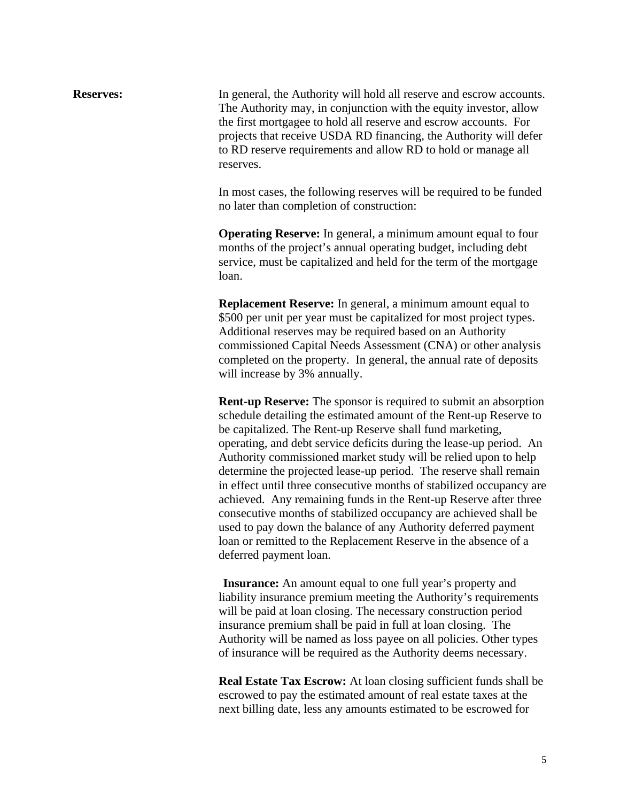**Reserves:** In general, the Authority will hold all reserve and escrow accounts. The Authority may, in conjunction with the equity investor, allow the first mortgagee to hold all reserve and escrow accounts. For projects that receive USDA RD financing, the Authority will defer to RD reserve requirements and allow RD to hold or manage all reserves.

> In most cases, the following reserves will be required to be funded no later than completion of construction:

 **Operating Reserve:** In general, a minimum amount equal to four months of the project's annual operating budget, including debt service, must be capitalized and held for the term of the mortgage loan.

 **Replacement Reserve:** In general, a minimum amount equal to \$500 per unit per year must be capitalized for most project types. Additional reserves may be required based on an Authority commissioned Capital Needs Assessment (CNA) or other analysis completed on the property. In general, the annual rate of deposits will increase by 3% annually.

**Rent-up Reserve:** The sponsor is required to submit an absorption schedule detailing the estimated amount of the Rent-up Reserve to be capitalized. The Rent-up Reserve shall fund marketing, operating, and debt service deficits during the lease-up period. An Authority commissioned market study will be relied upon to help determine the projected lease-up period. The reserve shall remain in effect until three consecutive months of stabilized occupancy are achieved. Any remaining funds in the Rent-up Reserve after three consecutive months of stabilized occupancy are achieved shall be used to pay down the balance of any Authority deferred payment loan or remitted to the Replacement Reserve in the absence of a deferred payment loan.

 **Insurance:** An amount equal to one full year's property and liability insurance premium meeting the Authority's requirements will be paid at loan closing. The necessary construction period insurance premium shall be paid in full at loan closing. The Authority will be named as loss payee on all policies. Other types of insurance will be required as the Authority deems necessary.

 **Real Estate Tax Escrow:** At loan closing sufficient funds shall be escrowed to pay the estimated amount of real estate taxes at the next billing date, less any amounts estimated to be escrowed for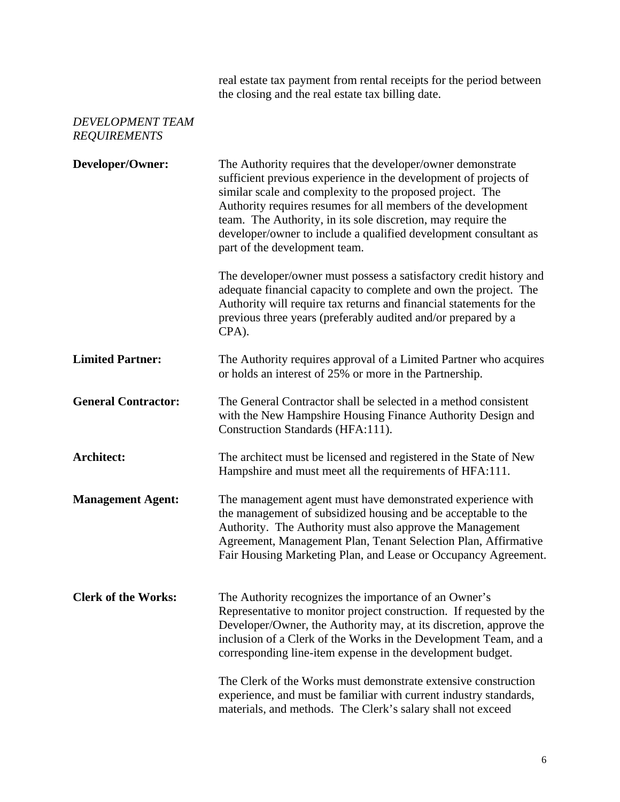real estate tax payment from rental receipts for the period between the closing and the real estate tax billing date.

### *DEVELOPMENT TEAM REQUIREMENTS*

| Developer/Owner:           | The Authority requires that the developer/owner demonstrate<br>sufficient previous experience in the development of projects of<br>similar scale and complexity to the proposed project. The<br>Authority requires resumes for all members of the development<br>team. The Authority, in its sole discretion, may require the<br>developer/owner to include a qualified development consultant as<br>part of the development team. |
|----------------------------|------------------------------------------------------------------------------------------------------------------------------------------------------------------------------------------------------------------------------------------------------------------------------------------------------------------------------------------------------------------------------------------------------------------------------------|
|                            | The developer/owner must possess a satisfactory credit history and<br>adequate financial capacity to complete and own the project. The<br>Authority will require tax returns and financial statements for the<br>previous three years (preferably audited and/or prepared by a<br>CPA).                                                                                                                                            |
| <b>Limited Partner:</b>    | The Authority requires approval of a Limited Partner who acquires<br>or holds an interest of 25% or more in the Partnership.                                                                                                                                                                                                                                                                                                       |
| <b>General Contractor:</b> | The General Contractor shall be selected in a method consistent<br>with the New Hampshire Housing Finance Authority Design and<br>Construction Standards (HFA:111).                                                                                                                                                                                                                                                                |
| Architect:                 | The architect must be licensed and registered in the State of New<br>Hampshire and must meet all the requirements of HFA:111.                                                                                                                                                                                                                                                                                                      |
| <b>Management Agent:</b>   | The management agent must have demonstrated experience with<br>the management of subsidized housing and be acceptable to the<br>Authority. The Authority must also approve the Management<br>Agreement, Management Plan, Tenant Selection Plan, Affirmative<br>Fair Housing Marketing Plan, and Lease or Occupancy Agreement.                                                                                                      |
| <b>Clerk of the Works:</b> | The Authority recognizes the importance of an Owner's<br>Representative to monitor project construction. If requested by the<br>Developer/Owner, the Authority may, at its discretion, approve the<br>inclusion of a Clerk of the Works in the Development Team, and a<br>corresponding line-item expense in the development budget.                                                                                               |
|                            | The Clerk of the Works must demonstrate extensive construction<br>experience, and must be familiar with current industry standards,<br>materials, and methods. The Clerk's salary shall not exceed                                                                                                                                                                                                                                 |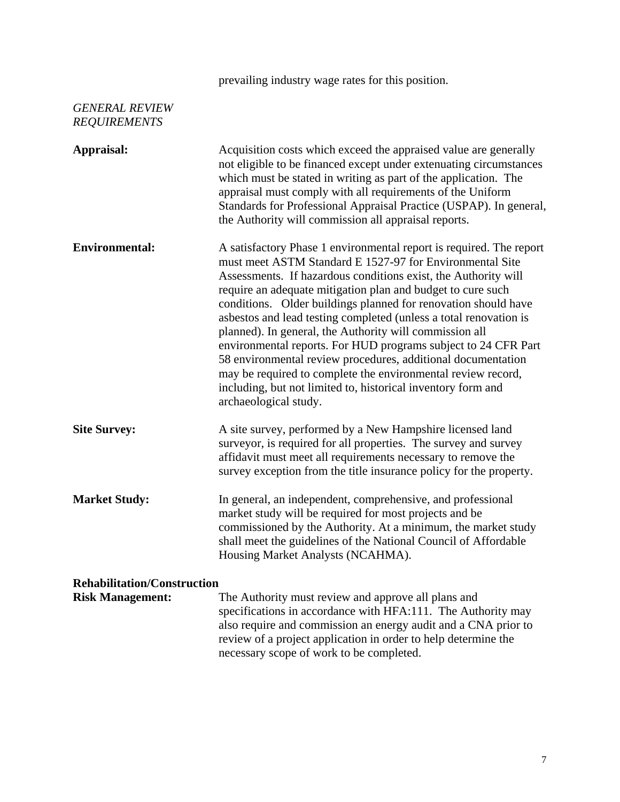prevailing industry wage rates for this position.

# *GENERAL REVIEW REQUIREMENTS*

| Appraisal:                         | Acquisition costs which exceed the appraised value are generally<br>not eligible to be financed except under extenuating circumstances<br>which must be stated in writing as part of the application. The<br>appraisal must comply with all requirements of the Uniform<br>Standards for Professional Appraisal Practice (USPAP). In general,<br>the Authority will commission all appraisal reports.                                                                                                                                                                                                                                                                                                                                                         |
|------------------------------------|---------------------------------------------------------------------------------------------------------------------------------------------------------------------------------------------------------------------------------------------------------------------------------------------------------------------------------------------------------------------------------------------------------------------------------------------------------------------------------------------------------------------------------------------------------------------------------------------------------------------------------------------------------------------------------------------------------------------------------------------------------------|
| <b>Environmental:</b>              | A satisfactory Phase 1 environmental report is required. The report<br>must meet ASTM Standard E 1527-97 for Environmental Site<br>Assessments. If hazardous conditions exist, the Authority will<br>require an adequate mitigation plan and budget to cure such<br>conditions. Older buildings planned for renovation should have<br>asbestos and lead testing completed (unless a total renovation is<br>planned). In general, the Authority will commission all<br>environmental reports. For HUD programs subject to 24 CFR Part<br>58 environmental review procedures, additional documentation<br>may be required to complete the environmental review record,<br>including, but not limited to, historical inventory form and<br>archaeological study. |
| <b>Site Survey:</b>                | A site survey, performed by a New Hampshire licensed land<br>surveyor, is required for all properties. The survey and survey<br>affidavit must meet all requirements necessary to remove the<br>survey exception from the title insurance policy for the property.                                                                                                                                                                                                                                                                                                                                                                                                                                                                                            |
| <b>Market Study:</b>               | In general, an independent, comprehensive, and professional<br>market study will be required for most projects and be<br>commissioned by the Authority. At a minimum, the market study<br>shall meet the guidelines of the National Council of Affordable<br>Housing Market Analysts (NCAHMA).                                                                                                                                                                                                                                                                                                                                                                                                                                                                |
| <b>Rehabilitation/Construction</b> |                                                                                                                                                                                                                                                                                                                                                                                                                                                                                                                                                                                                                                                                                                                                                               |
| <b>Risk Management:</b>            | The Authority must review and approve all plans and<br>specifications in accordance with HFA:111. The Authority may<br>also require and commission an energy audit and a CNA prior to<br>review of a project application in order to help determine the<br>necessary scope of work to be completed.                                                                                                                                                                                                                                                                                                                                                                                                                                                           |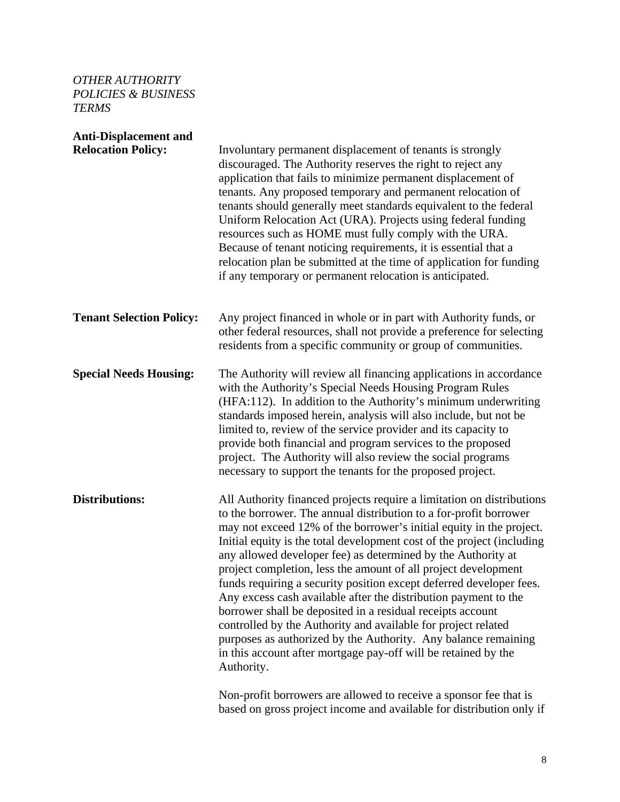## *OTHER AUTHORITY POLICIES & BUSINESS TERMS*

| <b>Anti-Displacement and</b>    |                                                                                                                                                                                                                                                                                                                                                                                                                                                                                                                                                                                                                                                                                                                                                                                                                                                          |
|---------------------------------|----------------------------------------------------------------------------------------------------------------------------------------------------------------------------------------------------------------------------------------------------------------------------------------------------------------------------------------------------------------------------------------------------------------------------------------------------------------------------------------------------------------------------------------------------------------------------------------------------------------------------------------------------------------------------------------------------------------------------------------------------------------------------------------------------------------------------------------------------------|
| <b>Relocation Policy:</b>       | Involuntary permanent displacement of tenants is strongly<br>discouraged. The Authority reserves the right to reject any<br>application that fails to minimize permanent displacement of<br>tenants. Any proposed temporary and permanent relocation of<br>tenants should generally meet standards equivalent to the federal<br>Uniform Relocation Act (URA). Projects using federal funding<br>resources such as HOME must fully comply with the URA.<br>Because of tenant noticing requirements, it is essential that a<br>relocation plan be submitted at the time of application for funding<br>if any temporary or permanent relocation is anticipated.                                                                                                                                                                                             |
| <b>Tenant Selection Policy:</b> | Any project financed in whole or in part with Authority funds, or<br>other federal resources, shall not provide a preference for selecting<br>residents from a specific community or group of communities.                                                                                                                                                                                                                                                                                                                                                                                                                                                                                                                                                                                                                                               |
| <b>Special Needs Housing:</b>   | The Authority will review all financing applications in accordance<br>with the Authority's Special Needs Housing Program Rules<br>(HFA:112). In addition to the Authority's minimum underwriting<br>standards imposed herein, analysis will also include, but not be<br>limited to, review of the service provider and its capacity to<br>provide both financial and program services to the proposed<br>project. The Authority will also review the social programs<br>necessary to support the tenants for the proposed project.                                                                                                                                                                                                                                                                                                                       |
| <b>Distributions:</b>           | All Authority financed projects require a limitation on distributions<br>to the borrower. The annual distribution to a for-profit borrower<br>may not exceed 12% of the borrower's initial equity in the project.<br>Initial equity is the total development cost of the project (including<br>any allowed developer fee) as determined by the Authority at<br>project completion, less the amount of all project development<br>funds requiring a security position except deferred developer fees.<br>Any excess cash available after the distribution payment to the<br>borrower shall be deposited in a residual receipts account<br>controlled by the Authority and available for project related<br>purposes as authorized by the Authority. Any balance remaining<br>in this account after mortgage pay-off will be retained by the<br>Authority. |
|                                 | Non-profit borrowers are allowed to receive a sponsor fee that is                                                                                                                                                                                                                                                                                                                                                                                                                                                                                                                                                                                                                                                                                                                                                                                        |

based on gross project income and available for distribution only if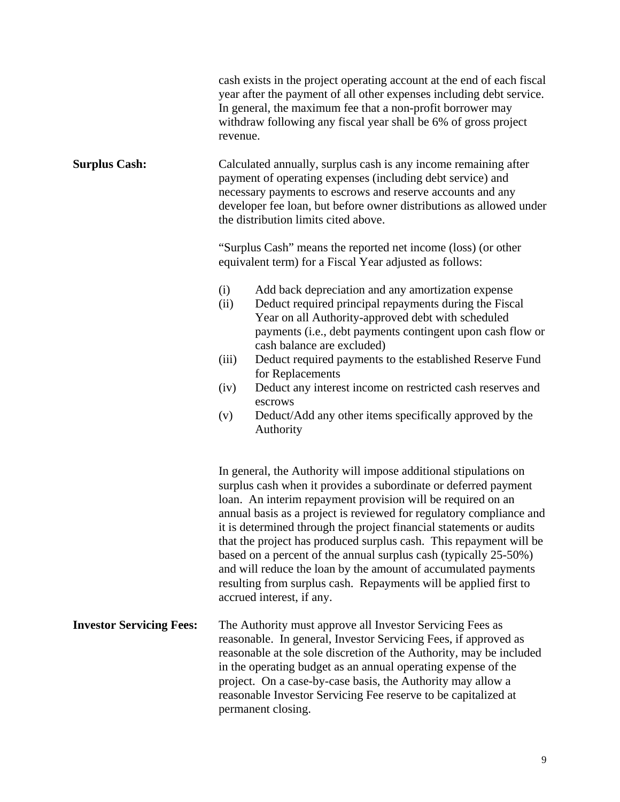|                                 | cash exists in the project operating account at the end of each fiscal<br>year after the payment of all other expenses including debt service.<br>In general, the maximum fee that a non-profit borrower may<br>withdraw following any fiscal year shall be 6% of gross project<br>revenue.                                                                                                                                                                                                                                                                                                                                                                   |
|---------------------------------|---------------------------------------------------------------------------------------------------------------------------------------------------------------------------------------------------------------------------------------------------------------------------------------------------------------------------------------------------------------------------------------------------------------------------------------------------------------------------------------------------------------------------------------------------------------------------------------------------------------------------------------------------------------|
| <b>Surplus Cash:</b>            | Calculated annually, surplus cash is any income remaining after<br>payment of operating expenses (including debt service) and<br>necessary payments to escrows and reserve accounts and any<br>developer fee loan, but before owner distributions as allowed under<br>the distribution limits cited above.                                                                                                                                                                                                                                                                                                                                                    |
|                                 | "Surplus Cash" means the reported net income (loss) (or other<br>equivalent term) for a Fiscal Year adjusted as follows:                                                                                                                                                                                                                                                                                                                                                                                                                                                                                                                                      |
|                                 | Add back depreciation and any amortization expense<br>(i)<br>Deduct required principal repayments during the Fiscal<br>(ii)<br>Year on all Authority-approved debt with scheduled<br>payments (i.e., debt payments contingent upon cash flow or<br>cash balance are excluded)                                                                                                                                                                                                                                                                                                                                                                                 |
|                                 | Deduct required payments to the established Reserve Fund<br>(iii)<br>for Replacements                                                                                                                                                                                                                                                                                                                                                                                                                                                                                                                                                                         |
|                                 | Deduct any interest income on restricted cash reserves and<br>(iv)<br>escrows                                                                                                                                                                                                                                                                                                                                                                                                                                                                                                                                                                                 |
|                                 | Deduct/Add any other items specifically approved by the<br>(v)<br>Authority                                                                                                                                                                                                                                                                                                                                                                                                                                                                                                                                                                                   |
|                                 | In general, the Authority will impose additional stipulations on<br>surplus cash when it provides a subordinate or deferred payment<br>loan. An interim repayment provision will be required on an<br>annual basis as a project is reviewed for regulatory compliance and<br>it is determined through the project financial statements or audits<br>that the project has produced surplus cash. This repayment will be<br>based on a percent of the annual surplus cash (typically 25-50%)<br>and will reduce the loan by the amount of accumulated payments<br>resulting from surplus cash. Repayments will be applied first to<br>accrued interest, if any. |
| <b>Investor Servicing Fees:</b> | The Authority must approve all Investor Servicing Fees as<br>reasonable. In general, Investor Servicing Fees, if approved as<br>reasonable at the sole discretion of the Authority, may be included<br>in the operating budget as an annual operating expense of the<br>project. On a case-by-case basis, the Authority may allow a<br>reasonable Investor Servicing Fee reserve to be capitalized at<br>permanent closing.                                                                                                                                                                                                                                   |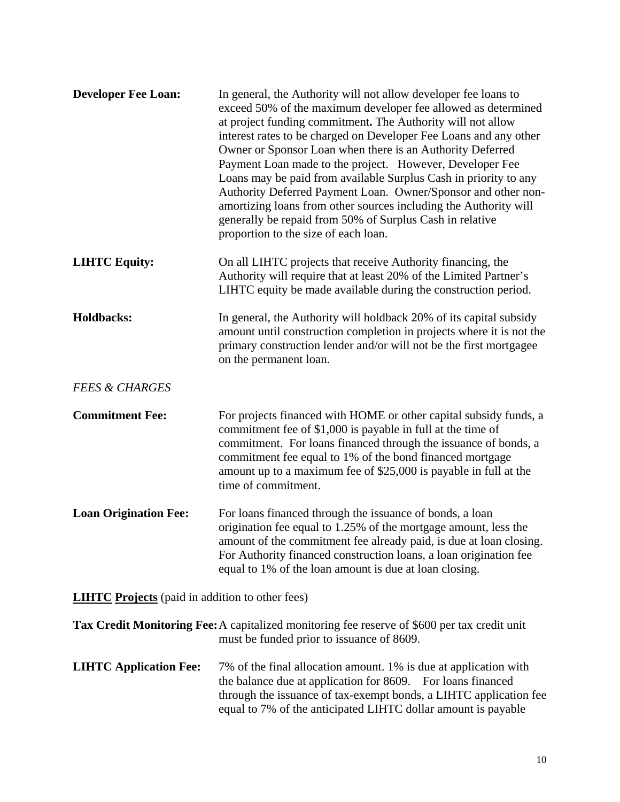| <b>Developer Fee Loan:</b>                             | In general, the Authority will not allow developer fee loans to<br>exceed 50% of the maximum developer fee allowed as determined<br>at project funding commitment. The Authority will not allow<br>interest rates to be charged on Developer Fee Loans and any other<br>Owner or Sponsor Loan when there is an Authority Deferred<br>Payment Loan made to the project. However, Developer Fee<br>Loans may be paid from available Surplus Cash in priority to any<br>Authority Deferred Payment Loan. Owner/Sponsor and other non-<br>amortizing loans from other sources including the Authority will<br>generally be repaid from 50% of Surplus Cash in relative<br>proportion to the size of each loan. |
|--------------------------------------------------------|------------------------------------------------------------------------------------------------------------------------------------------------------------------------------------------------------------------------------------------------------------------------------------------------------------------------------------------------------------------------------------------------------------------------------------------------------------------------------------------------------------------------------------------------------------------------------------------------------------------------------------------------------------------------------------------------------------|
| <b>LIHTC Equity:</b>                                   | On all LIHTC projects that receive Authority financing, the<br>Authority will require that at least 20% of the Limited Partner's<br>LIHTC equity be made available during the construction period.                                                                                                                                                                                                                                                                                                                                                                                                                                                                                                         |
| <b>Holdbacks:</b>                                      | In general, the Authority will holdback 20% of its capital subsidy<br>amount until construction completion in projects where it is not the<br>primary construction lender and/or will not be the first mortgagee<br>on the permanent loan.                                                                                                                                                                                                                                                                                                                                                                                                                                                                 |
| <b>FEES &amp; CHARGES</b>                              |                                                                                                                                                                                                                                                                                                                                                                                                                                                                                                                                                                                                                                                                                                            |
| <b>Commitment Fee:</b>                                 | For projects financed with HOME or other capital subsidy funds, a<br>commitment fee of \$1,000 is payable in full at the time of<br>commitment. For loans financed through the issuance of bonds, a<br>commitment fee equal to 1% of the bond financed mortgage<br>amount up to a maximum fee of \$25,000 is payable in full at the<br>time of commitment.                                                                                                                                                                                                                                                                                                                                                 |
| <b>Loan Origination Fee:</b>                           | For loans financed through the issuance of bonds, a loan<br>origination fee equal to 1.25% of the mortgage amount, less the<br>amount of the commitment fee already paid, is due at loan closing.<br>For Authority financed construction loans, a loan origination fee<br>equal to 1% of the loan amount is due at loan closing.                                                                                                                                                                                                                                                                                                                                                                           |
| <b>LIHTC</b> Projects (paid in addition to other fees) |                                                                                                                                                                                                                                                                                                                                                                                                                                                                                                                                                                                                                                                                                                            |
|                                                        | <b>Tax Credit Monitoring Fee:</b> A capitalized monitoring fee reserve of \$600 per tax credit unit<br>must be funded prior to issuance of 8609.                                                                                                                                                                                                                                                                                                                                                                                                                                                                                                                                                           |
| <b>LIHTC Application Fee:</b>                          | 7% of the final allocation amount. 1% is due at application with<br>the balance due at application for 8609. For loans financed<br>through the issuance of tax-exempt bonds, a LIHTC application fee<br>equal to 7% of the anticipated LIHTC dollar amount is payable                                                                                                                                                                                                                                                                                                                                                                                                                                      |